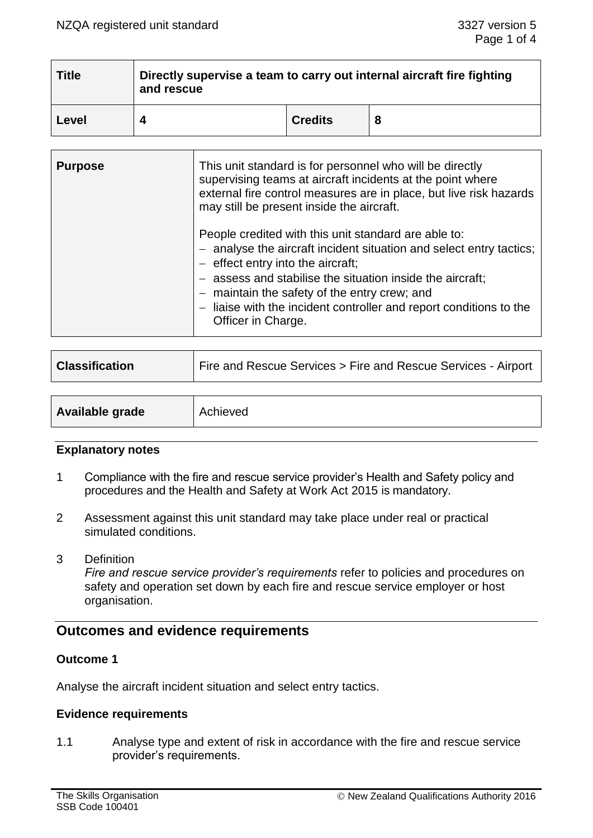| <b>Title</b> | Directly supervise a team to carry out internal aircraft fire fighting<br>and rescue |                |   |  |
|--------------|--------------------------------------------------------------------------------------|----------------|---|--|
| Level        |                                                                                      | <b>Credits</b> | 8 |  |

| <b>Purpose</b> | This unit standard is for personnel who will be directly<br>supervising teams at aircraft incidents at the point where<br>external fire control measures are in place, but live risk hazards<br>may still be present inside the aircraft.                                                                                                                                   |  |
|----------------|-----------------------------------------------------------------------------------------------------------------------------------------------------------------------------------------------------------------------------------------------------------------------------------------------------------------------------------------------------------------------------|--|
|                | People credited with this unit standard are able to:<br>- analyse the aircraft incident situation and select entry tactics;<br>$-$ effect entry into the aircraft;<br>- assess and stabilise the situation inside the aircraft;<br>- maintain the safety of the entry crew; and<br>- liaise with the incident controller and report conditions to the<br>Officer in Charge. |  |

| <b>Classification</b>  | Fire and Rescue Services > Fire and Rescue Services - Airport |
|------------------------|---------------------------------------------------------------|
|                        |                                                               |
| <b>Available grade</b> | Achieved                                                      |

#### **Explanatory notes**

- 1 Compliance with the fire and rescue service provider's Health and Safety policy and procedures and the Health and Safety at Work Act 2015 is mandatory.
- 2 Assessment against this unit standard may take place under real or practical simulated conditions.
- 3 Definition

*Fire and rescue service provider's requirements* refer to policies and procedures on safety and operation set down by each fire and rescue service employer or host organisation.

## **Outcomes and evidence requirements**

#### **Outcome 1**

Analyse the aircraft incident situation and select entry tactics.

#### **Evidence requirements**

1.1 Analyse type and extent of risk in accordance with the fire and rescue service provider's requirements.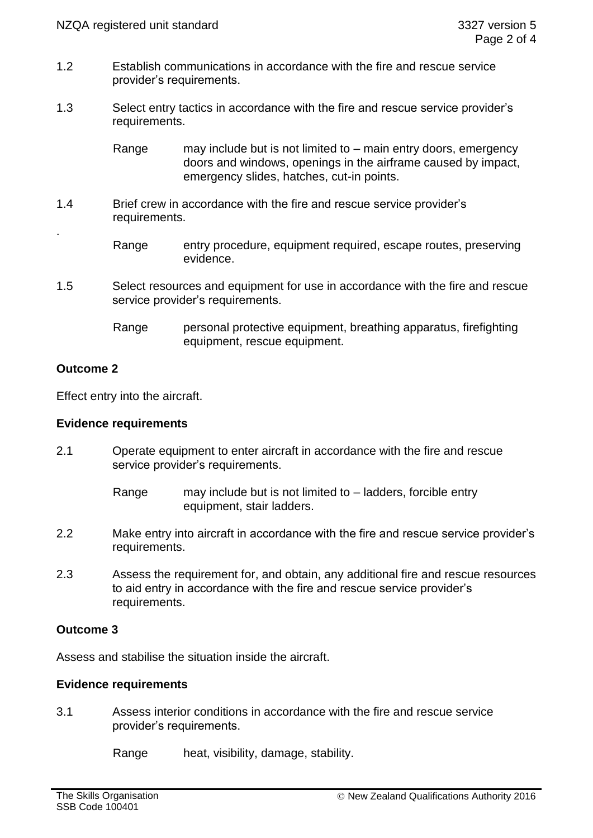- 1.2 Establish communications in accordance with the fire and rescue service provider's requirements.
- 1.3 Select entry tactics in accordance with the fire and rescue service provider's requirements.

Range may include but is not limited to – main entry doors, emergency doors and windows, openings in the airframe caused by impact, emergency slides, hatches, cut-in points.

- 1.4 Brief crew in accordance with the fire and rescue service provider's requirements.
	- Range entry procedure, equipment required, escape routes, preserving evidence.
- 1.5 Select resources and equipment for use in accordance with the fire and rescue service provider's requirements.
	- Range personal protective equipment, breathing apparatus, firefighting equipment, rescue equipment.

# **Outcome 2**

.

Effect entry into the aircraft.

### **Evidence requirements**

- 2.1 Operate equipment to enter aircraft in accordance with the fire and rescue service provider's requirements.
	- Range may include but is not limited to ladders, forcible entry equipment, stair ladders.
- 2.2 Make entry into aircraft in accordance with the fire and rescue service provider's requirements.
- 2.3 Assess the requirement for, and obtain, any additional fire and rescue resources to aid entry in accordance with the fire and rescue service provider's requirements.

## **Outcome 3**

Assess and stabilise the situation inside the aircraft.

## **Evidence requirements**

3.1 Assess interior conditions in accordance with the fire and rescue service provider's requirements.

Range heat, visibility, damage, stability.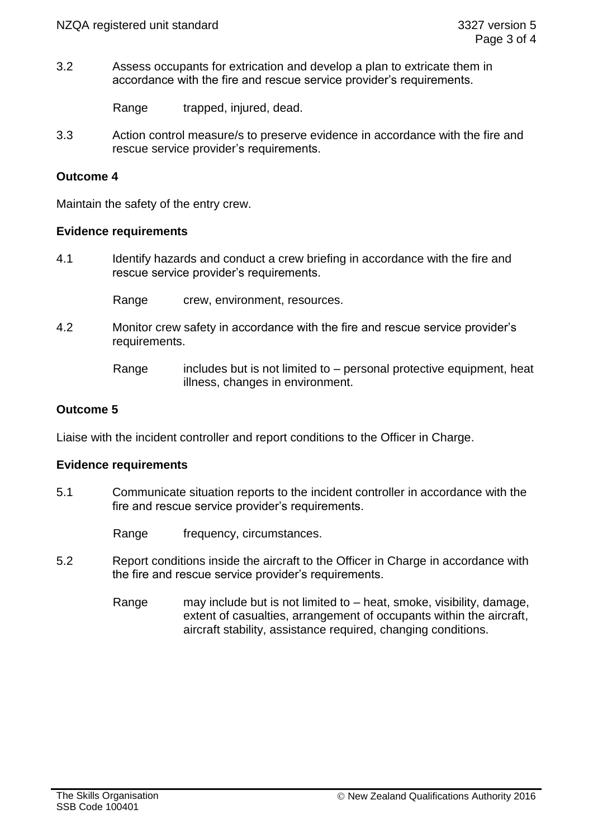3.2 Assess occupants for extrication and develop a plan to extricate them in accordance with the fire and rescue service provider's requirements.

Range trapped, injured, dead.

3.3 Action control measure/s to preserve evidence in accordance with the fire and rescue service provider's requirements.

## **Outcome 4**

Maintain the safety of the entry crew.

#### **Evidence requirements**

4.1 Identify hazards and conduct a crew briefing in accordance with the fire and rescue service provider's requirements.

Range crew, environment, resources.

4.2 Monitor crew safety in accordance with the fire and rescue service provider's requirements.

## **Outcome 5**

Liaise with the incident controller and report conditions to the Officer in Charge.

#### **Evidence requirements**

5.1 Communicate situation reports to the incident controller in accordance with the fire and rescue service provider's requirements.

Range frequency, circumstances.

- 5.2 Report conditions inside the aircraft to the Officer in Charge in accordance with the fire and rescue service provider's requirements.
	- Range may include but is not limited to heat, smoke, visibility, damage, extent of casualties, arrangement of occupants within the aircraft, aircraft stability, assistance required, changing conditions.

Range includes but is not limited to  $-$  personal protective equipment, heat illness, changes in environment.